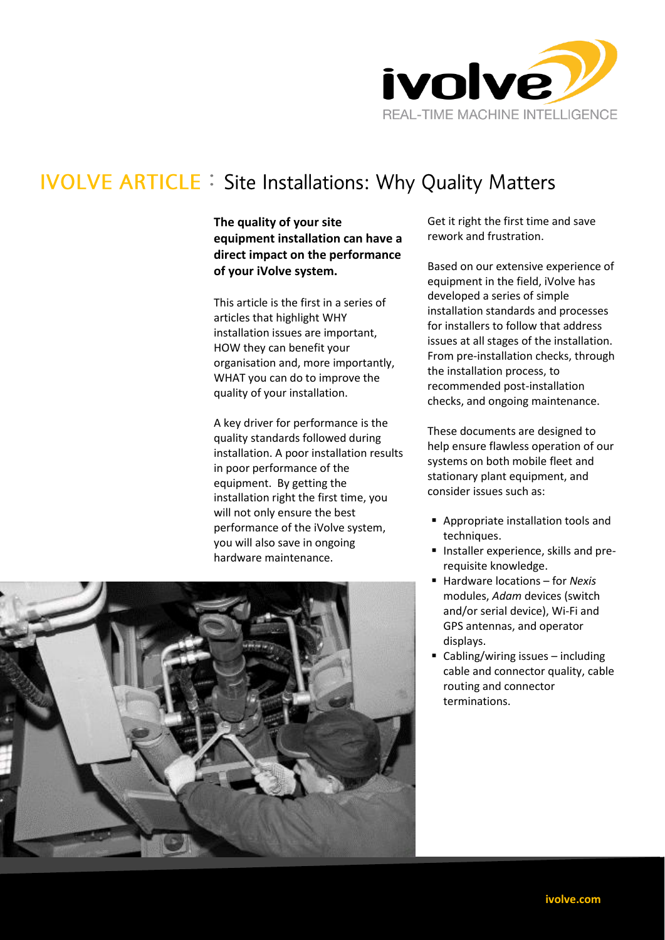

# **IVOLVE ARTICLE : Site Installations: Why Quality Matters**

## **The quality of your site equipment installation can have a direct impact on the performance of your iVolve system.**

This article is the first in a series of articles that highlight WHY installation issues are important, HOW they can benefit your organisation and, more importantly, WHAT you can do to improve the quality of your installation.

A key driver for performance is the quality standards followed during installation. A poor installation results in poor performance of the equipment. By getting the installation right the first time, you will not only ensure the best performance of the iVolve system, you will also save in ongoing hardware maintenance.

Get it right the first time and save rework and frustration.

Based on our extensive experience of equipment in the field, iVolve has developed a series of simple installation standards and processes for installers to follow that address issues at all stages of the installation. From pre-installation checks, through the installation process, to recommended post-installation checks, and ongoing maintenance.

These documents are designed to help ensure flawless operation of our systems on both mobile fleet and stationary plant equipment, and consider issues such as:

- **Appropriate installation tools and** techniques.
- **Installer experience, skills and pre**requisite knowledge.
- Hardware locations for *Nexis*  modules, *Adam* devices (switch and/or serial device), Wi-Fi and GPS antennas, and operator displays.
- Cabling/wiring issues including cable and connector quality, cable routing and connector terminations.

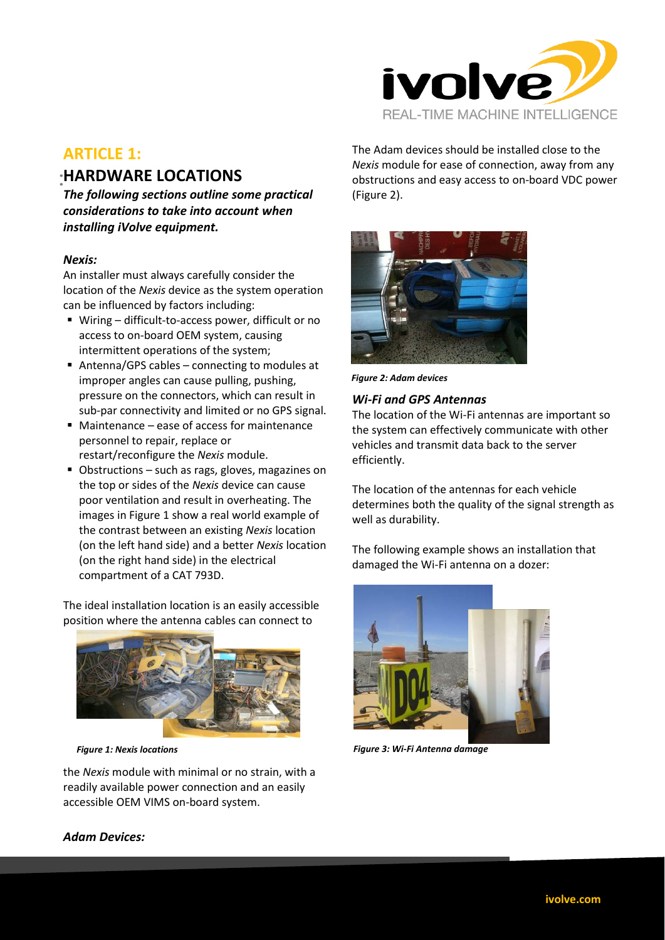

# **ARTICLE 1:**

# **HARDWARE LOCATIONS**

*The following sections outline some practical considerations to take into account when installing iVolve equipment.* 

### *Nexis:*

An installer must always carefully consider the location of the *Nexis* device as the system operation can be influenced by factors including:

- Wiring difficult-to-access power, difficult or no access to on-board OEM system, causing intermittent operations of the system;
- Antenna/GPS cables connecting to modules at improper angles can cause pulling, pushing, pressure on the connectors, which can result in sub-par connectivity and limited or no GPS signal.
- Maintenance ease of access for maintenance personnel to repair, replace or restart/reconfigure the *Nexis* module.
- Obstructions such as rags, gloves, magazines on the top or sides of the *Nexis* device can cause poor ventilation and result in overheating. The images i[n Figure 1](#page-1-0) show a real world example of the contrast between an existing *Nexis* location (on the left hand side) and a better *Nexis* location (on the right hand side) in the electrical compartment of a CAT 793D.

The ideal installation location is an easily accessible position where the antenna cables can connect to



<span id="page-1-0"></span>the *Nexis* module with minimal or no strain, with a readily available power connection and an easily accessible OEM VIMS on-board system.

The Adam devices should be installed close to the *Nexis* module for ease of connection, away from any obstructions and easy access to on-board VDC power [\(Figure 2\)](#page-1-1).



*Figure 2: Adam devices*

### <span id="page-1-1"></span>*Wi-Fi and GPS Antennas*

The location of the Wi-Fi antennas are important so the system can effectively communicate with other vehicles and transmit data back to the server efficiently.

The location of the antennas for each vehicle determines both the quality of the signal strength as well as durability.

The following example shows an installation that damaged the Wi-Fi antenna on a dozer:



*Figure 1: Nexis locations Figure 3: Wi-Fi Antenna damage*

## *Adam Devices:*